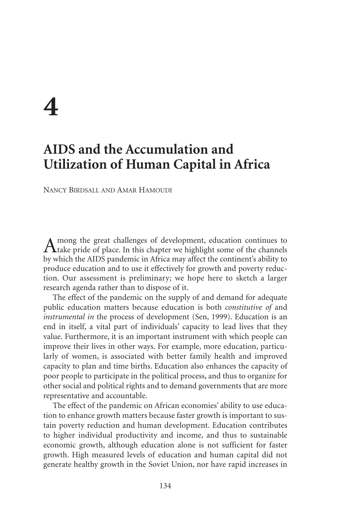# **4**

# **AIDS and the Accumulation and Utilization of Human Capital in Africa**

NANCY BIRDSALL AND AMAR HAMOUDI

A mong the great challenges of development, education continues to<br>take pride of place. In this chapter we highlight some of the channels by which the AIDS pandemic in Africa may affect the continent's ability to produce education and to use it effectively for growth and poverty reduction. Our assessment is preliminary; we hope here to sketch a larger research agenda rather than to dispose of it.

The effect of the pandemic on the supply of and demand for adequate public education matters because education is both *constitutive of* and *instrumental in* the process of development (Sen, 1999). Education is an end in itself, a vital part of individuals' capacity to lead lives that they value. Furthermore, it is an important instrument with which people can improve their lives in other ways. For example, more education, particularly of women, is associated with better family health and improved capacity to plan and time births. Education also enhances the capacity of poor people to participate in the political process, and thus to organize for other social and political rights and to demand governments that are more representative and accountable.

The effect of the pandemic on African economies' ability to use education to enhance growth matters because faster growth is important to sustain poverty reduction and human development. Education contributes to higher individual productivity and income, and thus to sustainable economic growth, although education alone is not sufficient for faster growth. High measured levels of education and human capital did not generate healthy growth in the Soviet Union, nor have rapid increases in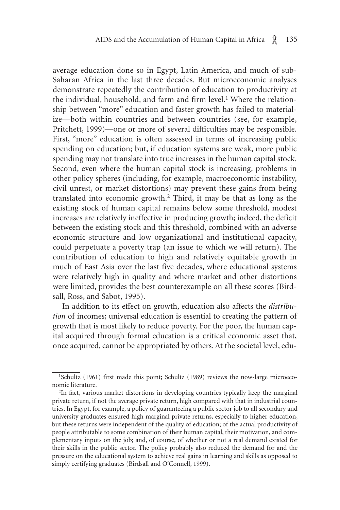average education done so in Egypt, Latin America, and much of sub-Saharan Africa in the last three decades. But microeconomic analyses demonstrate repeatedly the contribution of education to productivity at the individual, household, and farm and firm level.<sup>1</sup> Where the relationship between "more" education and faster growth has failed to materialize—both within countries and between countries (see, for example, Pritchett, 1999)—one or more of several difficulties may be responsible. First, "more" education is often assessed in terms of increasing public spending on education; but, if education systems are weak, more public spending may not translate into true increases in the human capital stock. Second, even where the human capital stock is increasing, problems in other policy spheres (including, for example, macroeconomic instability, civil unrest, or market distortions) may prevent these gains from being translated into economic growth.2 Third, it may be that as long as the existing stock of human capital remains below some threshold, modest increases are relatively ineffective in producing growth; indeed, the deficit between the existing stock and this threshold, combined with an adverse economic structure and low organizational and institutional capacity, could perpetuate a poverty trap (an issue to which we will return). The contribution of education to high and relatively equitable growth in much of East Asia over the last five decades, where educational systems were relatively high in quality and where market and other distortions were limited, provides the best counterexample on all these scores (Birdsall, Ross, and Sabot, 1995).

In addition to its effect on growth, education also affects the *distribution* of incomes; universal education is essential to creating the pattern of growth that is most likely to reduce poverty. For the poor, the human capital acquired through formal education is a critical economic asset that, once acquired, cannot be appropriated by others. At the societal level, edu-

<sup>&</sup>lt;sup>1</sup>Schultz (1961) first made this point; Schultz (1989) reviews the now-large microeconomic literature.

<sup>2</sup>In fact, various market distortions in developing countries typically keep the marginal private return, if not the average private return, high compared with that in industrial countries. In Egypt, for example, a policy of guaranteeing a public sector job to all secondary and university graduates ensured high marginal private returns, especially to higher education, but these returns were independent of the quality of education; of the actual productivity of people attributable to some combination of their human capital, their motivation, and complementary inputs on the job; and, of course, of whether or not a real demand existed for their skills in the public sector. The policy probably also reduced the demand for and the pressure on the educational system to achieve real gains in learning and skills as opposed to simply certifying graduates (Birdsall and O'Connell, 1999).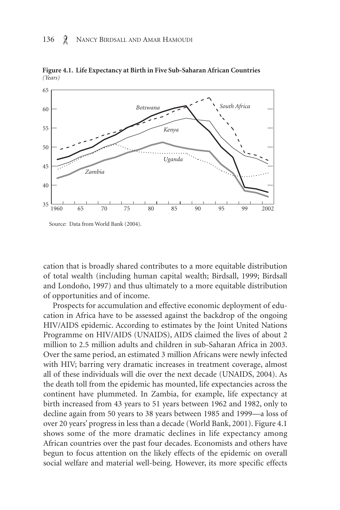

**Figure 4.1. Life Expectancy at Birth in Five Sub-Saharan African Countries** *(Years)*

Source: Data from World Bank (2004).

cation that is broadly shared contributes to a more equitable distribution of total wealth (including human capital wealth; Birdsall, 1999; Birdsall and Londoño, 1997) and thus ultimately to a more equitable distribution of opportunities and of income.

Prospects for accumulation and effective economic deployment of education in Africa have to be assessed against the backdrop of the ongoing HIV/AIDS epidemic. According to estimates by the Joint United Nations Programme on HIV/AIDS (UNAIDS), AIDS claimed the lives of about 2 million to 2.5 million adults and children in sub-Saharan Africa in 2003. Over the same period, an estimated 3 million Africans were newly infected with HIV; barring very dramatic increases in treatment coverage, almost all of these individuals will die over the next decade (UNAIDS, 2004). As the death toll from the epidemic has mounted, life expectancies across the continent have plummeted. In Zambia, for example, life expectancy at birth increased from 43 years to 51 years between 1962 and 1982, only to decline again from 50 years to 38 years between 1985 and 1999—a loss of over 20 years' progress in less than a decade (World Bank, 2001). Figure 4.1 shows some of the more dramatic declines in life expectancy among African countries over the past four decades. Economists and others have begun to focus attention on the likely effects of the epidemic on overall social welfare and material well-being. However, its more specific effects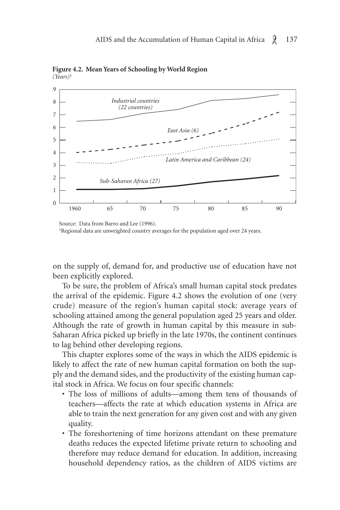

**Figure 4.2. Mean Years of Schooling by World Region** *(Years)*<sup>1</sup>

Source: Data from Barro and Lee (1996).

<sup>1</sup>Regional data are unweighted country averages for the population aged over 24 years.

on the supply of, demand for, and productive use of education have not been explicitly explored.

To be sure, the problem of Africa's small human capital stock predates the arrival of the epidemic. Figure 4.2 shows the evolution of one (very crude) measure of the region's human capital stock: average years of schooling attained among the general population aged 25 years and older. Although the rate of growth in human capital by this measure in sub-Saharan Africa picked up briefly in the late 1970s, the continent continues to lag behind other developing regions.

This chapter explores some of the ways in which the AIDS epidemic is likely to affect the rate of new human capital formation on both the supply and the demand sides, and the productivity of the existing human capital stock in Africa. We focus on four specific channels:

- The loss of millions of adults—among them tens of thousands of teachers—affects the rate at which education systems in Africa are able to train the next generation for any given cost and with any given quality.
- The foreshortening of time horizons attendant on these premature deaths reduces the expected lifetime private return to schooling and therefore may reduce demand for education. In addition, increasing household dependency ratios, as the children of AIDS victims are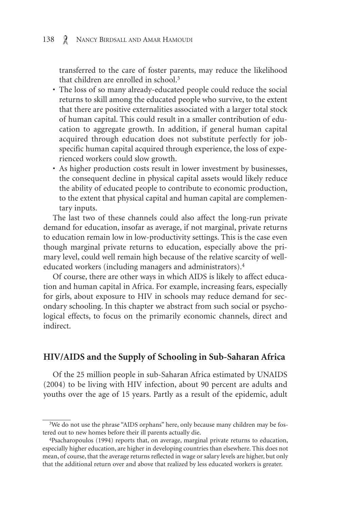transferred to the care of foster parents, may reduce the likelihood that children are enrolled in school.<sup>3</sup>

- The loss of so many already-educated people could reduce the social returns to skill among the educated people who survive, to the extent that there are positive externalities associated with a larger total stock of human capital. This could result in a smaller contribution of education to aggregate growth. In addition, if general human capital acquired through education does not substitute perfectly for jobspecific human capital acquired through experience, the loss of experienced workers could slow growth.
- As higher production costs result in lower investment by businesses, the consequent decline in physical capital assets would likely reduce the ability of educated people to contribute to economic production, to the extent that physical capital and human capital are complementary inputs.

The last two of these channels could also affect the long-run private demand for education, insofar as average, if not marginal, private returns to education remain low in low-productivity settings. This is the case even though marginal private returns to education, especially above the primary level, could well remain high because of the relative scarcity of welleducated workers (including managers and administrators).4

Of course, there are other ways in which AIDS is likely to affect education and human capital in Africa. For example, increasing fears, especially for girls, about exposure to HIV in schools may reduce demand for secondary schooling. In this chapter we abstract from such social or psychological effects, to focus on the primarily economic channels, direct and indirect.

# **HIV/AIDS and the Supply of Schooling in Sub-Saharan Africa**

Of the 25 million people in sub-Saharan Africa estimated by UNAIDS (2004) to be living with HIV infection, about 90 percent are adults and youths over the age of 15 years. Partly as a result of the epidemic, adult

<sup>&</sup>lt;sup>3</sup>We do not use the phrase "AIDS orphans" here, only because many children may be fostered out to new homes before their ill parents actually die.

<sup>4</sup>Psacharopoulos (1994) reports that, on average, marginal private returns to education, especially higher education, are higher in developing countries than elsewhere. This does not mean, of course, that the average returns reflected in wage or salary levels are higher, but only that the additional return over and above that realized by less educated workers is greater.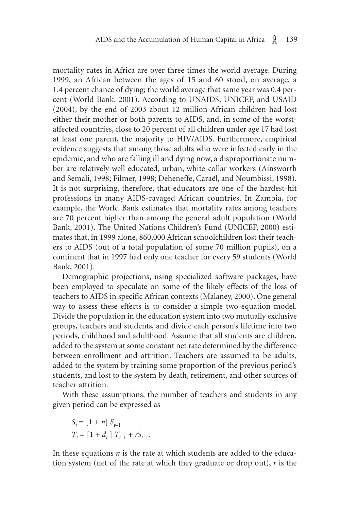mortality rates in Africa are over three times the world average. During 1999, an African between the ages of 15 and 60 stood, on average, a 1.4 percent chance of dying; the world average that same year was 0.4 percent (World Bank, 2001). According to UNAIDS, UNICEF, and USAID (2004), by the end of 2003 about 12 million African children had lost either their mother or both parents to AIDS, and, in some of the worstaffected countries, close to 20 percent of all children under age 17 had lost at least one parent, the majority to HIV/AIDS. Furthermore, empirical evidence suggests that among those adults who were infected early in the epidemic, and who are falling ill and dying now, a disproportionate number are relatively well educated, urban, white-collar workers (Ainsworth and Semali, 1998; Filmer, 1998; Deheneffe, Caraël, and Noumbissi, 1998). It is not surprising, therefore, that educators are one of the hardest-hit professions in many AIDS-ravaged African countries. In Zambia, for example, the World Bank estimates that mortality rates among teachers are 70 percent higher than among the general adult population (World Bank, 2001). The United Nations Children's Fund (UNICEF, 2000) estimates that, in 1999 alone, 860,000 African schoolchildren lost their teachers to AIDS (out of a total population of some 70 million pupils), on a continent that in 1997 had only one teacher for every 59 students (World Bank, 2001).

Demographic projections, using specialized software packages, have been employed to speculate on some of the likely effects of the loss of teachers to AIDS in specific African contexts (Malaney, 2000). One general way to assess these effects is to consider a simple two-equation model. Divide the population in the education system into two mutually exclusive groups, teachers and students, and divide each person's lifetime into two periods, childhood and adulthood. Assume that all students are children, added to the system at some constant net rate determined by the difference between enrollment and attrition. Teachers are assumed to be adults, added to the system by training some proportion of the previous period's students, and lost to the system by death, retirement, and other sources of teacher attrition.

With these assumptions, the number of teachers and students in any given period can be expressed as

$$
S_t = [1 + n] S_{t-1}
$$
  
\n
$$
T_t = [1 + d_t] T_{t-1} + r S_{t-1}.
$$

In these equations *n* is the rate at which students are added to the education system (net of the rate at which they graduate or drop out), *r* is the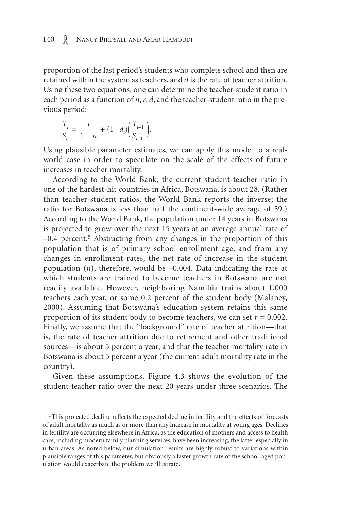proportion of the last period's students who complete school and then are retained within the system as teachers, and *d* is the rate of teacher attrition. Using these two equations, one can determine the teacher-student ratio in each period as a function of *n*,*r*, *d*, and the teacher-student ratio in the previous period:

$$
\frac{T_t}{S_t} = \frac{r}{1+n} + (1-d_t) \left( \frac{T_{t-1}}{S_{t-1}} \right).
$$

Using plausible parameter estimates, we can apply this model to a realworld case in order to speculate on the scale of the effects of future increases in teacher mortality.

According to the World Bank, the current student-teacher ratio in one of the hardest-hit countries in Africa, Botswana, is about 28. (Rather than teacher-student ratios, the World Bank reports the inverse; the ratio for Botswana is less than half the continent-wide average of 59.) According to the World Bank, the population under 14 years in Botswana is projected to grow over the next 15 years at an average annual rate of –0.4 percent.5 Abstracting from any changes in the proportion of this population that is of primary school enrollment age, and from any changes in enrollment rates, the net rate of increase in the student population (*n*), therefore, would be –0.004. Data indicating the rate at which students are trained to become teachers in Botswana are not readily available. However, neighboring Namibia trains about 1,000 teachers each year, or some 0.2 percent of the student body (Malaney, 2000). Assuming that Botswana's education system retains this same proportion of its student body to become teachers, we can set  $r = 0.002$ . Finally, we assume that the "background" rate of teacher attrition—that is, the rate of teacher attrition due to retirement and other traditional sources—is about 5 percent a year, and that the teacher mortality rate in Botswana is about 3 percent a year (the current adult mortality rate in the country).

Given these assumptions, Figure 4.3 shows the evolution of the student-teacher ratio over the next 20 years under three scenarios. The

<sup>&</sup>lt;sup>5</sup>This projected decline reflects the expected decline in fertility and the effects of forecasts of adult mortality as much as or more than any increase in mortality at young ages. Declines in fertility are occurring elsewhere in Africa, as the education of mothers and access to health care, including modern family planning services, have been increasing, the latter especially in urban areas. As noted below, our simulation results are highly robust to variations within plausible ranges of this parameter, but obviously a faster growth rate of the school-aged population would exacerbate the problem we illustrate.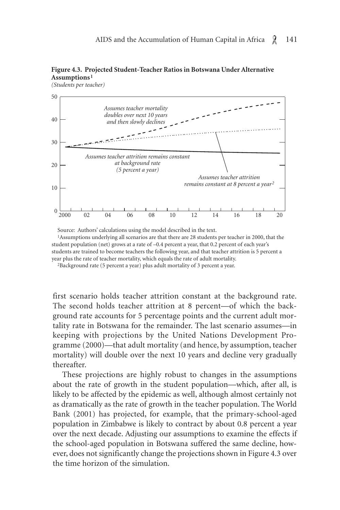

**Figure 4.3. Projected Student-Teacher Ratios in Botswana Under Alternative Assumptions1** *(Students per teacher)*

Source: Authors' calculations using the model described in the text.

<sup>1</sup>Assumptions underlying all scenarios are that there are 28 students per teacher in 2000, that the student population (net) grows at a rate of –0.4 percent a year, that 0.2 percent of each year's students are trained to become teachers the following year, and that teacher attrition is 5 percent a year plus the rate of teacher mortality, which equals the rate of adult mortality.

2Background rate (5 percent a year) plus adult mortality of 3 percent a year.

first scenario holds teacher attrition constant at the background rate. The second holds teacher attrition at 8 percent—of which the background rate accounts for 5 percentage points and the current adult mortality rate in Botswana for the remainder. The last scenario assumes—in keeping with projections by the United Nations Development Programme (2000)—that adult mortality (and hence, by assumption, teacher mortality) will double over the next 10 years and decline very gradually thereafter.

These projections are highly robust to changes in the assumptions about the rate of growth in the student population—which, after all, is likely to be affected by the epidemic as well, although almost certainly not as dramatically as the rate of growth in the teacher population. The World Bank (2001) has projected, for example, that the primary-school-aged population in Zimbabwe is likely to contract by about 0.8 percent a year over the next decade. Adjusting our assumptions to examine the effects if the school-aged population in Botswana suffered the same decline, however, does not significantly change the projections shown in Figure 4.3 over the time horizon of the simulation.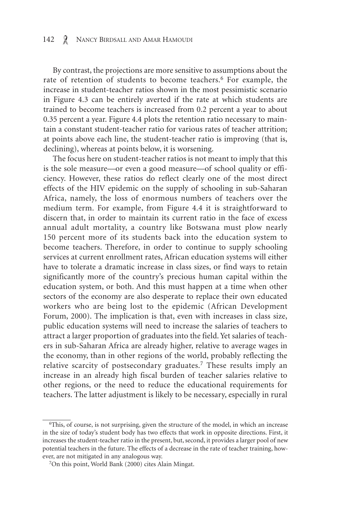#### 142 R NANCY BIRDSALL AND AMAR HAMOUDI

By contrast, the projections are more sensitive to assumptions about the rate of retention of students to become teachers.<sup>6</sup> For example, the increase in student-teacher ratios shown in the most pessimistic scenario in Figure 4.3 can be entirely averted if the rate at which students are trained to become teachers is increased from 0.2 percent a year to about 0.35 percent a year. Figure 4.4 plots the retention ratio necessary to maintain a constant student-teacher ratio for various rates of teacher attrition; at points above each line, the student-teacher ratio is improving (that is, declining), whereas at points below, it is worsening.

The focus here on student-teacher ratios is not meant to imply that this is the sole measure—or even a good measure—of school quality or efficiency. However, these ratios do reflect clearly one of the most direct effects of the HIV epidemic on the supply of schooling in sub-Saharan Africa, namely, the loss of enormous numbers of teachers over the medium term. For example, from Figure 4.4 it is straightforward to discern that, in order to maintain its current ratio in the face of excess annual adult mortality, a country like Botswana must plow nearly 150 percent more of its students back into the education system to become teachers. Therefore, in order to continue to supply schooling services at current enrollment rates, African education systems will either have to tolerate a dramatic increase in class sizes, or find ways to retain significantly more of the country's precious human capital within the education system, or both. And this must happen at a time when other sectors of the economy are also desperate to replace their own educated workers who are being lost to the epidemic (African Development Forum, 2000). The implication is that, even with increases in class size, public education systems will need to increase the salaries of teachers to attract a larger proportion of graduates into the field. Yet salaries of teachers in sub-Saharan Africa are already higher, relative to average wages in the economy, than in other regions of the world, probably reflecting the relative scarcity of postsecondary graduates.<sup>7</sup> These results imply an increase in an already high fiscal burden of teacher salaries relative to other regions, or the need to reduce the educational requirements for teachers. The latter adjustment is likely to be necessary, especially in rural

<sup>6</sup>This, of course, is not surprising, given the structure of the model, in which an increase in the size of today's student body has two effects that work in opposite directions. First, it increases the student-teacher ratio in the present, but, second, it provides a larger pool of new potential teachers in the future. The effects of a decrease in the rate of teacher training, however, are not mitigated in any analogous way.

<sup>7</sup>On this point, World Bank (2000) cites Alain Mingat.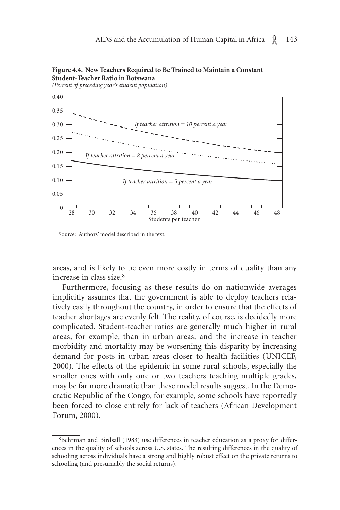

**Figure 4.4. New Teachers Required to Be Trained to Maintain a Constant Student-Teacher Ratio in Botswana**

Source: Authors' model described in the text.

areas, and is likely to be even more costly in terms of quality than any increase in class size.8

Furthermore, focusing as these results do on nationwide averages implicitly assumes that the government is able to deploy teachers relatively easily throughout the country, in order to ensure that the effects of teacher shortages are evenly felt. The reality, of course, is decidedly more complicated. Student-teacher ratios are generally much higher in rural areas, for example, than in urban areas, and the increase in teacher morbidity and mortality may be worsening this disparity by increasing demand for posts in urban areas closer to health facilities (UNICEF, 2000). The effects of the epidemic in some rural schools, especially the smaller ones with only one or two teachers teaching multiple grades, may be far more dramatic than these model results suggest. In the Democratic Republic of the Congo, for example, some schools have reportedly been forced to close entirely for lack of teachers (African Development Forum, 2000).

<sup>8</sup>Behrman and Birdsall (1983) use differences in teacher education as a proxy for differences in the quality of schools across U.S. states. The resulting differences in the quality of schooling across individuals have a strong and highly robust effect on the private returns to schooling (and presumably the social returns).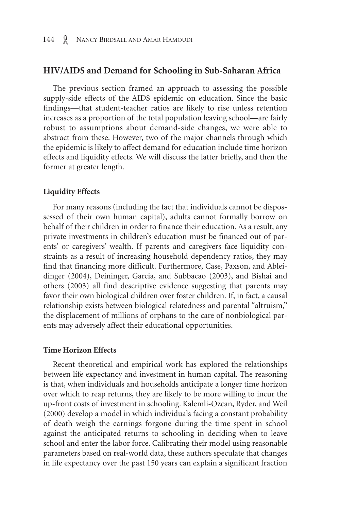#### **HIV/AIDS and Demand for Schooling in Sub-Saharan Africa**

The previous section framed an approach to assessing the possible supply-side effects of the AIDS epidemic on education. Since the basic findings—that student-teacher ratios are likely to rise unless retention increases as a proportion of the total population leaving school—are fairly robust to assumptions about demand-side changes, we were able to abstract from these. However, two of the major channels through which the epidemic is likely to affect demand for education include time horizon effects and liquidity effects. We will discuss the latter briefly, and then the former at greater length.

#### **Liquidity Effects**

For many reasons (including the fact that individuals cannot be dispossessed of their own human capital), adults cannot formally borrow on behalf of their children in order to finance their education. As a result, any private investments in children's education must be financed out of parents' or caregivers' wealth. If parents and caregivers face liquidity constraints as a result of increasing household dependency ratios, they may find that financing more difficult. Furthermore, Case, Paxson, and Ableidinger (2004), Deininger, Garcia, and Subbacao (2003), and Bishai and others (2003) all find descriptive evidence suggesting that parents may favor their own biological children over foster children. If, in fact, a causal relationship exists between biological relatedness and parental "altruism," the displacement of millions of orphans to the care of nonbiological parents may adversely affect their educational opportunities.

#### **Time Horizon Effects**

Recent theoretical and empirical work has explored the relationships between life expectancy and investment in human capital. The reasoning is that, when individuals and households anticipate a longer time horizon over which to reap returns, they are likely to be more willing to incur the up-front costs of investment in schooling. Kalemli-Ozcan, Ryder, and Weil (2000) develop a model in which individuals facing a constant probability of death weigh the earnings forgone during the time spent in school against the anticipated returns to schooling in deciding when to leave school and enter the labor force. Calibrating their model using reasonable parameters based on real-world data, these authors speculate that changes in life expectancy over the past 150 years can explain a significant fraction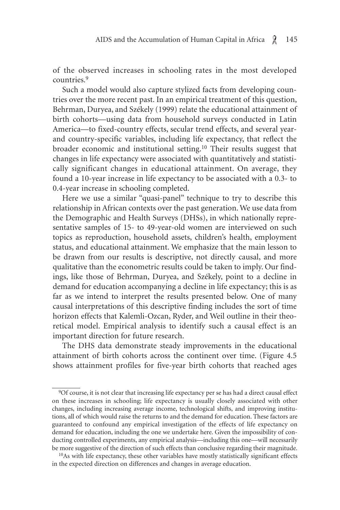of the observed increases in schooling rates in the most developed countries.9

Such a model would also capture stylized facts from developing countries over the more recent past. In an empirical treatment of this question, Behrman, Duryea, and Székely (1999) relate the educational attainment of birth cohorts—using data from household surveys conducted in Latin America—to fixed-country effects, secular trend effects, and several yearand country-specific variables, including life expectancy, that reflect the broader economic and institutional setting.10 Their results suggest that changes in life expectancy were associated with quantitatively and statistically significant changes in educational attainment. On average, they found a 10-year increase in life expectancy to be associated with a 0.3- to 0.4-year increase in schooling completed.

Here we use a similar "quasi-panel" technique to try to describe this relationship in African contexts over the past generation. We use data from the Demographic and Health Surveys (DHSs), in which nationally representative samples of 15- to 49-year-old women are interviewed on such topics as reproduction, household assets, children's health, employment status, and educational attainment. We emphasize that the main lesson to be drawn from our results is descriptive, not directly causal, and more qualitative than the econometric results could be taken to imply. Our findings, like those of Behrman, Duryea, and Székely, point to a decline in demand for education accompanying a decline in life expectancy; this is as far as we intend to interpret the results presented below. One of many causal interpretations of this descriptive finding includes the sort of time horizon effects that Kalemli-Ozcan, Ryder, and Weil outline in their theoretical model. Empirical analysis to identify such a causal effect is an important direction for future research.

The DHS data demonstrate steady improvements in the educational attainment of birth cohorts across the continent over time. (Figure 4.5 shows attainment profiles for five-year birth cohorts that reached ages

<sup>9</sup>Of course, it is not clear that increasing life expectancy per se has had a direct causal effect on these increases in schooling; life expectancy is usually closely associated with other changes, including increasing average income, technological shifts, and improving institutions, all of which would raise the returns to and the demand for education. These factors are guaranteed to confound any empirical investigation of the effects of life expectancy on demand for education, including the one we undertake here. Given the impossibility of conducting controlled experiments, any empirical analysis—including this one—will necessarily be more suggestive of the direction of such effects than conclusive regarding their magnitude.

<sup>&</sup>lt;sup>10</sup>As with life expectancy, these other variables have mostly statistically significant effects in the expected direction on differences and changes in average education.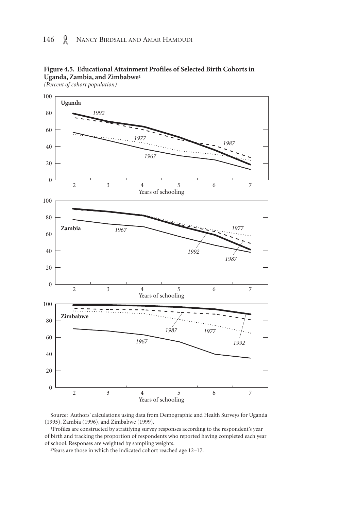



*(Percent of cohort population)*

Source: Authors' calculations using data from Demographic and Health Surveys for Uganda (1995), Zambia (1996), and Zimbabwe (1999).

1Profiles are constructed by stratifying survey responses according to the respondent's year of birth and tracking the proportion of respondents who reported having completed each year of school. Responses are weighted by sampling weights.

2Years are those in which the indicated cohort reached age 12–17.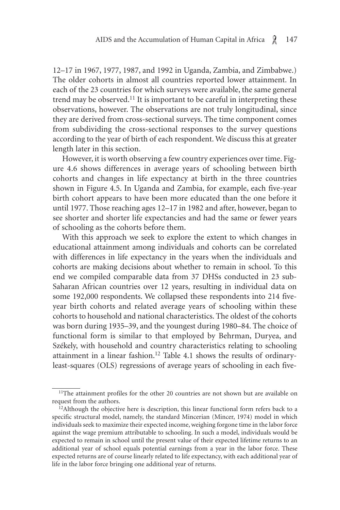12–17 in 1967, 1977, 1987, and 1992 in Uganda, Zambia, and Zimbabwe.) The older cohorts in almost all countries reported lower attainment. In each of the 23 countries for which surveys were available, the same general trend may be observed.<sup>11</sup> It is important to be careful in interpreting these observations, however. The observations are not truly longitudinal, since they are derived from cross-sectional surveys. The time component comes from subdividing the cross-sectional responses to the survey questions according to the year of birth of each respondent. We discuss this at greater length later in this section.

However, it is worth observing a few country experiences over time. Figure 4.6 shows differences in average years of schooling between birth cohorts and changes in life expectancy at birth in the three countries shown in Figure 4.5. In Uganda and Zambia, for example, each five-year birth cohort appears to have been more educated than the one before it until 1977. Those reaching ages 12–17 in 1982 and after, however, began to see shorter and shorter life expectancies and had the same or fewer years of schooling as the cohorts before them.

With this approach we seek to explore the extent to which changes in educational attainment among individuals and cohorts can be correlated with differences in life expectancy in the years when the individuals and cohorts are making decisions about whether to remain in school. To this end we compiled comparable data from 37 DHSs conducted in 23 sub-Saharan African countries over 12 years, resulting in individual data on some 192,000 respondents. We collapsed these respondents into 214 fiveyear birth cohorts and related average years of schooling within these cohorts to household and national characteristics. The oldest of the cohorts was born during 1935–39, and the youngest during 1980–84. The choice of functional form is similar to that employed by Behrman, Duryea, and Székely, with household and country characteristics relating to schooling attainment in a linear fashion.12 Table 4.1 shows the results of ordinaryleast-squares (OLS) regressions of average years of schooling in each five-

<sup>&</sup>lt;sup>11</sup>The attainment profiles for the other 20 countries are not shown but are available on request from the authors.

 $12$ Although the objective here is description, this linear functional form refers back to a specific structural model, namely, the standard Mincerian (Mincer, 1974) model in which individuals seek to maximize their expected income, weighing forgone time in the labor force against the wage premium attributable to schooling. In such a model, individuals would be expected to remain in school until the present value of their expected lifetime returns to an additional year of school equals potential earnings from a year in the labor force. These expected returns are of course linearly related to life expectancy, with each additional year of life in the labor force bringing one additional year of returns.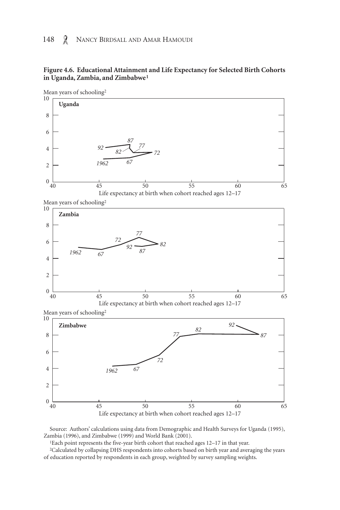#### 148 R NANCY BIRDSALL AND AMAR HAMOUDI



#### **Figure 4.6. Educational Attainment and Life Expectancy for Selected Birth Cohorts in Uganda, Zambia, and Zimbabwe1**

Source: Authors' calculations using data from Demographic and Health Surveys for Uganda (1995), Zambia (1996), and Zimbabwe (1999) and World Bank (2001).

1Each point represents the five-year birth cohort that reached ages 12–17 in that year.

2Calculated by collapsing DHS respondents into cohorts based on birth year and averaging the years of education reported by respondents in each group, weighted by survey sampling weights.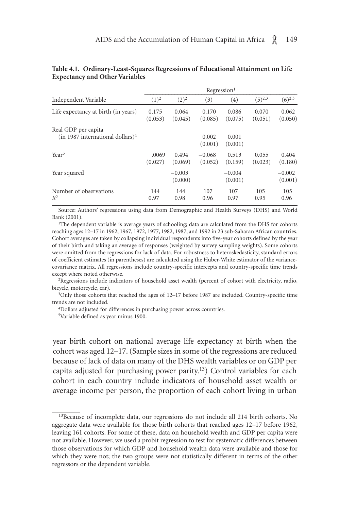|                                                                       | Regression <sup>1</sup> |                     |                     |                     |                  |                     |
|-----------------------------------------------------------------------|-------------------------|---------------------|---------------------|---------------------|------------------|---------------------|
| Independent Variable                                                  | $(1)^2$                 | $(2)^2$             | (3)                 | (4)                 | $(5)^{2,3}$      | $(6)^{2,3}$         |
| Life expectancy at birth (in years)                                   | 0.175<br>(0.053)        | 0.064<br>(0.045)    | 0.170<br>(0.085)    | 0.086<br>(0.075)    | 0.070<br>(0.051) | 0.062<br>(0.050)    |
| Real GDP per capita<br>$(in 1987$ international dollars) <sup>4</sup> |                         |                     | 0.002<br>(0.001)    | 0.001<br>(0.001)    |                  |                     |
| Year <sup>5</sup>                                                     | .0069<br>(0.027)        | 0.494<br>(0.069)    | $-0.068$<br>(0.052) | 0.513<br>(0.159)    | 0.055<br>(0.023) | 0.404<br>(0.180)    |
| Year squared                                                          |                         | $-0.003$<br>(0.000) |                     | $-0.004$<br>(0.001) |                  | $-0.002$<br>(0.001) |
| Number of observations<br>$R^2$                                       | 144<br>0.97             | 144<br>0.98         | 107<br>0.96         | 107<br>0.97         | 105<br>0.95      | 105<br>0.96         |

#### **Table 4.1. Ordinary-Least-Squares Regressions of Educational Attainment on Life Expectancy and Other Variables**

Source: Authors' regressions using data from Demographic and Health Surveys (DHS) and World Bank (2001).

<sup>1</sup>The dependent variable is average years of schooling; data are calculated from the DHS for cohorts reaching ages 12–17 in 1962, 1967, 1972, 1977, 1982, 1987, and 1992 in 23 sub-Saharan African countries. Cohort averages are taken by collapsing individual respondents into five-year cohorts defined by the year of their birth and taking an average of responses (weighted by survey sampling weights). Some cohorts were omitted from the regressions for lack of data. For robustness to heteroskedasticity, standard errors of coefficient estimates (in parentheses) are calculated using the Huber-White estimator of the variancecovariance matrix. All regressions include country-specific intercepts and country-specific time trends except where noted otherwise.

2Regressions include indicators of household asset wealth (percent of cohort with electricity, radio, bicycle, motorcycle, car).

 $3$ Only those cohorts that reached the ages of 12–17 before 1987 are included. Country-specific time trends are not included.

4Dollars adjusted for differences in purchasing power across countries.

5Variable defined as year minus 1900.

year birth cohort on national average life expectancy at birth when the cohort was aged 12–17. (Sample sizes in some of the regressions are reduced because of lack of data on many of the DHS wealth variables or on GDP per capita adjusted for purchasing power parity.13) Control variables for each cohort in each country include indicators of household asset wealth or average income per person, the proportion of each cohort living in urban

<sup>&</sup>lt;sup>13</sup>Because of incomplete data, our regressions do not include all 214 birth cohorts. No aggregate data were available for those birth cohorts that reached ages 12–17 before 1962, leaving 161 cohorts. For some of these, data on household wealth and GDP per capita were not available. However, we used a probit regression to test for systematic differences between those observations for which GDP and household wealth data were available and those for which they were not; the two groups were not statistically different in terms of the other regressors or the dependent variable.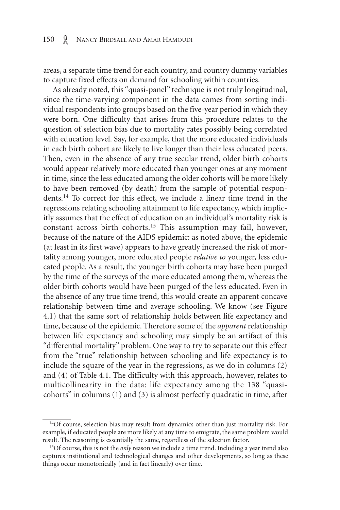areas, a separate time trend for each country, and country dummy variables to capture fixed effects on demand for schooling within countries.

As already noted, this "quasi-panel" technique is not truly longitudinal, since the time-varying component in the data comes from sorting individual respondents into groups based on the five-year period in which they were born. One difficulty that arises from this procedure relates to the question of selection bias due to mortality rates possibly being correlated with education level. Say, for example, that the more educated individuals in each birth cohort are likely to live longer than their less educated peers. Then, even in the absence of any true secular trend, older birth cohorts would appear relatively more educated than younger ones at any moment in time, since the less educated among the older cohorts will be more likely to have been removed (by death) from the sample of potential respondents.14 To correct for this effect, we include a linear time trend in the regressions relating schooling attainment to life expectancy, which implicitly assumes that the effect of education on an individual's mortality risk is constant across birth cohorts.15 This assumption may fail, however, because of the nature of the AIDS epidemic: as noted above, the epidemic (at least in its first wave) appears to have greatly increased the risk of mortality among younger, more educated people *relative to* younger, less educated people. As a result, the younger birth cohorts may have been purged by the time of the surveys of the more educated among them, whereas the older birth cohorts would have been purged of the less educated. Even in the absence of any true time trend, this would create an apparent concave relationship between time and average schooling. We know (see Figure 4.1) that the same sort of relationship holds between life expectancy and time, because of the epidemic. Therefore some of the *apparent* relationship between life expectancy and schooling may simply be an artifact of this "differential mortality" problem. One way to try to separate out this effect from the "true" relationship between schooling and life expectancy is to include the square of the year in the regressions, as we do in columns (2) and (4) of Table 4.1. The difficulty with this approach, however, relates to multicollinearity in the data: life expectancy among the 138 "quasicohorts" in columns (1) and (3) is almost perfectly quadratic in time, after

<sup>&</sup>lt;sup>14</sup>Of course, selection bias may result from dynamics other than just mortality risk. For example, if educated people are more likely at any time to emigrate, the same problem would result. The reasoning is essentially the same, regardless of the selection factor.

<sup>15</sup>Of course, this is not the *only* reason we include a time trend. Including a year trend also captures institutional and technological changes and other developments, so long as these things occur monotonically (and in fact linearly) over time.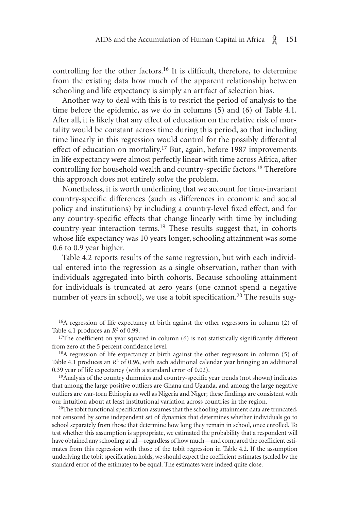controlling for the other factors.16 It is difficult, therefore, to determine from the existing data how much of the apparent relationship between schooling and life expectancy is simply an artifact of selection bias.

Another way to deal with this is to restrict the period of analysis to the time before the epidemic, as we do in columns (5) and (6) of Table 4.1. After all, it is likely that any effect of education on the relative risk of mortality would be constant across time during this period, so that including time linearly in this regression would control for the possibly differential effect of education on mortality.<sup>17</sup> But, again, before 1987 improvements in life expectancy were almost perfectly linear with time across Africa, after controlling for household wealth and country-specific factors.18 Therefore this approach does not entirely solve the problem.

Nonetheless, it is worth underlining that we account for time-invariant country-specific differences (such as differences in economic and social policy and institutions) by including a country-level fixed effect, and for any country-specific effects that change linearly with time by including country-year interaction terms.19 These results suggest that, in cohorts whose life expectancy was 10 years longer, schooling attainment was some 0.6 to 0.9 year higher.

Table 4.2 reports results of the same regression, but with each individual entered into the regression as a single observation, rather than with individuals aggregated into birth cohorts. Because schooling attainment for individuals is truncated at zero years (one cannot spend a negative number of years in school), we use a tobit specification.<sup>20</sup> The results sug-

<sup>16</sup>A regression of life expectancy at birth against the other regressors in column (2) of Table 4.1 produces an  $R^2$  of 0.99.

<sup>&</sup>lt;sup>17</sup>The coefficient on year squared in column (6) is not statistically significantly different from zero at the 5 percent confidence level.

<sup>18</sup>A regression of life expectancy at birth against the other regressors in column (5) of Table 4.1 produces an  $R^2$  of 0.96, with each additional calendar year bringing an additional 0.39 year of life expectancy (with a standard error of 0.02).

 $19$ Analysis of the country dummies and country-specific year trends (not shown) indicates that among the large positive outliers are Ghana and Uganda, and among the large negative outliers are war-torn Ethiopia as well as Nigeria and Niger; these findings are consistent with our intuition about at least institutional variation across countries in the region.

 $20$ The tobit functional specification assumes that the schooling attainment data are truncated, not censored by some independent set of dynamics that determines whether individuals go to school separately from those that determine how long they remain in school, once enrolled. To test whether this assumption is appropriate, we estimated the probability that a respondent will have obtained any schooling at all—regardless of how much—and compared the coefficient estimates from this regression with those of the tobit regression in Table 4.2. If the assumption underlying the tobit specification holds, we should expect the coefficient estimates (scaled by the standard error of the estimate) to be equal. The estimates were indeed quite close.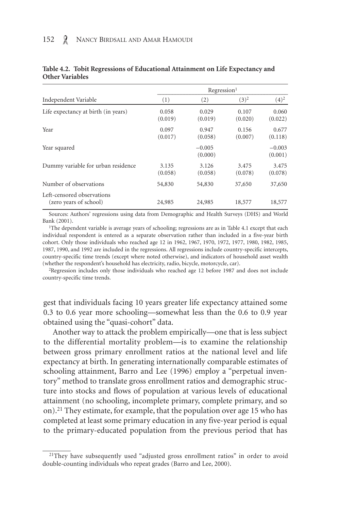#### 152 **NANCY BIRDSALL AND AMAR HAMOUDI**

|                                                      | Regression <sup>1</sup> |                     |                  |                     |  |
|------------------------------------------------------|-------------------------|---------------------|------------------|---------------------|--|
| Independent Variable                                 | (1)                     | (2)                 | $(3)^2$          | $(4)^2$             |  |
| Life expectancy at birth (in years)                  | 0.058<br>(0.019)        | 0.029<br>(0.019)    | 0.107<br>(0.020) | 0.060<br>(0.022)    |  |
| Year                                                 | 0.097<br>(0.017)        | 0.947<br>(0.058)    | 0.156<br>(0.007) | 0.677<br>(0.118)    |  |
| Year squared                                         |                         | $-0.005$<br>(0.000) |                  | $-0.003$<br>(0.001) |  |
| Dummy variable for urban residence                   | 3.135<br>(0.058)        | 3.126<br>(0.058)    | 3.475<br>(0.078) | 3.475<br>(0.078)    |  |
| Number of observations                               | 54,830                  | 54,830              | 37,650           | 37,650              |  |
| Left-censored observations<br>(zero years of school) | 24,985                  | 24,985              | 18,577           | 18,577              |  |

#### **Table 4.2. Tobit Regressions of Educational Attainment on Life Expectancy and Other Variables**

Sources: Authors' regressions using data from Demographic and Health Surveys (DHS) and World Bank (2001).

<sup>1</sup>The dependent variable is average years of schooling; regressions are as in Table 4.1 except that each individual respondent is entered as a separate observation rather than included in a five-year birth cohort. Only those individuals who reached age 12 in 1962, 1967, 1970, 1972, 1977, 1980, 1982, 1985, 1987, 1990, and 1992 are included in the regressions. All regressions include country-specific intercepts, country-specific time trends (except where noted otherwise), and indicators of household asset wealth (whether the respondent's household has electricity, radio, bicycle, motorcycle, car).

2Regression includes only those individuals who reached age 12 before 1987 and does not include country-specific time trends.

gest that individuals facing 10 years greater life expectancy attained some 0.3 to 0.6 year more schooling—somewhat less than the 0.6 to 0.9 year obtained using the "quasi-cohort" data.

Another way to attack the problem empirically—one that is less subject to the differential mortality problem—is to examine the relationship between gross primary enrollment ratios at the national level and life expectancy at birth. In generating internationally comparable estimates of schooling attainment, Barro and Lee (1996) employ a "perpetual inventory" method to translate gross enrollment ratios and demographic structure into stocks and flows of population at various levels of educational attainment (no schooling, incomplete primary, complete primary, and so on).21 They estimate, for example, that the population over age 15 who has completed at least some primary education in any five-year period is equal to the primary-educated population from the previous period that has

<sup>&</sup>lt;sup>21</sup>They have subsequently used "adjusted gross enrollment ratios" in order to avoid double-counting individuals who repeat grades (Barro and Lee, 2000).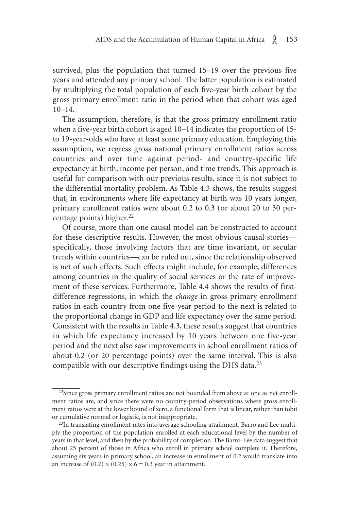survived, plus the population that turned 15–19 over the previous five years and attended any primary school. The latter population is estimated by multiplying the total population of each five-year birth cohort by the gross primary enrollment ratio in the period when that cohort was aged  $10-14.$ 

The assumption, therefore, is that the gross primary enrollment ratio when a five-year birth cohort is aged 10–14 indicates the proportion of 15 to 19-year-olds who have at least some primary education. Employing this assumption, we regress gross national primary enrollment ratios across countries and over time against period- and country-specific life expectancy at birth, income per person, and time trends. This approach is useful for comparison with our previous results, since it is not subject to the differential mortality problem. As Table 4.3 shows, the results suggest that, in environments where life expectancy at birth was 10 years longer, primary enrollment ratios were about 0.2 to 0.3 (or about 20 to 30 percentage points) higher.<sup>22</sup>

Of course, more than one causal model can be constructed to account for these descriptive results. However, the most obvious causal stories specifically, those involving factors that are time invariant, or secular trends within countries—can be ruled out, since the relationship observed is net of such effects. Such effects might include, for example, differences among countries in the quality of social services or the rate of improvement of these services. Furthermore, Table 4.4 shows the results of firstdifference regressions, in which the *change* in gross primary enrollment ratios in each country from one five-year period to the next is related to the proportional change in GDP and life expectancy over the same period. Consistent with the results in Table 4.3, these results suggest that countries in which life expectancy increased by 10 years between one five-year period and the next also saw improvements in school enrollment ratios of about 0.2 (or 20 percentage points) over the same interval. This is also compatible with our descriptive findings using the DHS data.23

<sup>&</sup>lt;sup>22</sup>Since gross primary enrollment ratios are not bounded from above at one as net enrollment ratios are, and since there were no country-period observations where gross enrollment ratios were at the lower bound of zero, a functional form that is linear, rather than tobit or cumulative normal or logistic, is not inappropriate.

<sup>&</sup>lt;sup>23</sup>In translating enrollment rates into average schooling attainment, Barro and Lee multiply the proportion of the population enrolled at each educational level by the number of years in that level, and then by the probability of completion. The Barro-Lee data suggest that about 25 percent of those in Africa who enroll in primary school complete it. Therefore, assuming six years in primary school, an increase in enrollment of 0.2 would translate into an increase of  $(0.2) \times (0.25) \times 6 = 0.3$  year in attainment.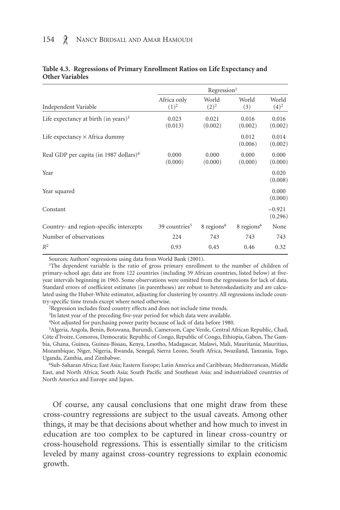#### 154 R NANCY BIRDSALL AND AMAR HAMOUDI

|                                                    | Regression <sup>1</sup>   |                        |                        |                     |  |
|----------------------------------------------------|---------------------------|------------------------|------------------------|---------------------|--|
| Independent Variable                               | Africa only<br>$(1)^2$    | World<br>$(2)^2$       | World<br>(3)           | World<br>$(4)^2$    |  |
| Life expectancy at birth (in years) <sup>3</sup>   | 0.023<br>(0.013)          | 0.021<br>(0.002)       | 0.016<br>(0.002)       | 0.016<br>(0.002)    |  |
| Life expectancy $\times$ Africa dummy              |                           |                        | 0.012<br>(0.006)       | 0.014<br>(0.002)    |  |
| Real GDP per capita (in 1987 dollars) <sup>4</sup> | 0.000<br>(0.000)          | 0.000<br>(0.000)       | 0.000<br>(0.000)       | 0.000<br>(0.000)    |  |
| Year                                               |                           |                        |                        | 0.020<br>(0.008)    |  |
| Year squared                                       |                           |                        |                        | 0.000<br>(0.000)    |  |
| Constant                                           |                           |                        |                        | $-0.921$<br>(0.296) |  |
| Country- and region-specific intercepts            | 39 countries <sup>5</sup> | 8 regions <sup>6</sup> | 8 regions <sup>6</sup> | None                |  |
| Number of observations                             | 224                       | 743                    | 743                    | 743                 |  |
| $R^2$                                              | 0.93                      | 0.45                   | 0.46                   | 0.32                |  |

#### **Table 4.3. Regressions of Primary Enrollment Ratios on Life Expectancy and Other Variables**

Sources: Authors' regressions using data from World Bank (2001).

<sup>1</sup>The dependent variable is the ratio of gross primary enrollment to the number of children of primary-school age; data are from 122 countries (including 39 African countries, listed below) at fiveyear intervals beginning in 1965. Some observations were omitted from the regressions for lack of data. Standard errors of coefficient estimates (in parentheses) are robust to heteroskedasticity and are calculated using the Huber-White estimator, adjusting for clustering by country. All regressions include country-specific time trends except where noted otherwise.

2Regression includes fixed country effects and does not include time trends.

<sup>3</sup>In latest year of the preceding five-year period for which data were available.

4Not adjusted for purchasing power parity because of lack of data before 1980.

5Algeria, Angola, Benin, Botswana, Burundi, Cameroon, Cape Verde, Central African Republic, Chad, Côte d'Ivoire, Comoros, Democratic Republic of Congo, Republic of Congo, Ethiopia, Gabon, The Gambia, Ghana, Guinea, Guinea-Bissau, Kenya, Lesotho, Madagascar, Malawi, Mali, Mauritania, Mauritius, Mozambique, Niger, Nigeria, Rwanda, Senegal, Sierra Leone, South Africa, Swaziland, Tanzania, Togo, Uganda, Zambia, and Zimbabwe.

6Sub-Saharan Africa; East Asia; Eastern Europe; Latin America and Caribbean; Mediterranean, Middle East, and North Africa; South Asia; South Pacific and Southeast Asia; and industrialized countries of North America and Europe and Japan.

Of course, any causal conclusions that one might draw from these cross-country regressions are subject to the usual caveats. Among other things, it may be that decisions about whether and how much to invest in education are too complex to be captured in linear cross-country or cross-household regressions. This is essentially similar to the criticism leveled by many against cross-country regressions to explain economic growth.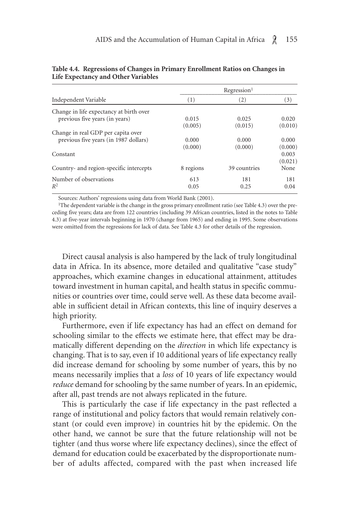|                                         | Regression <sup>1</sup> |              |         |  |
|-----------------------------------------|-------------------------|--------------|---------|--|
| Independent Variable                    | (1)                     | (2)          | (3)     |  |
| Change in life expectancy at birth over |                         |              |         |  |
| previous five years (in years)          | 0.015                   | 0.025        | 0.020   |  |
|                                         | (0.005)                 | (0.015)      | (0.010) |  |
| Change in real GDP per capita over      |                         |              |         |  |
| previous five years (in 1987 dollars)   | 0.000                   | 0.000        | 0.000   |  |
|                                         | (0.000)                 | (0.000)      | (0.000) |  |
| Constant                                |                         |              | 0.003   |  |
|                                         |                         |              | (0.021) |  |
| Country- and region-specific intercepts | 8 regions               | 39 countries | None    |  |
| Number of observations                  | 613                     | 181          | 181     |  |
| $R^2$                                   | 0.05                    | 0.25         | 0.04    |  |

**Table 4.4. Regressions of Changes in Primary Enrollment Ratios on Changes in Life Expectancy and Other Variables**

Sources: Authors' regressions using data from World Bank (2001).

<sup>1</sup>The dependent variable is the change in the gross primary enrollment ratio (see Table 4.3) over the preceding five years; data are from 122 countries (including 39 African countries, listed in the notes to Table 4.3) at five-year intervals beginning in 1970 (change from 1965) and ending in 1995. Some observations were omitted from the regressions for lack of data. See Table 4.3 for other details of the regression.

Direct causal analysis is also hampered by the lack of truly longitudinal data in Africa. In its absence, more detailed and qualitative "case study" approaches, which examine changes in educational attainment, attitudes toward investment in human capital, and health status in specific communities or countries over time, could serve well. As these data become available in sufficient detail in African contexts, this line of inquiry deserves a high priority.

Furthermore, even if life expectancy has had an effect on demand for schooling similar to the effects we estimate here, that effect may be dramatically different depending on the *direction* in which life expectancy is changing. That is to say, even if 10 additional years of life expectancy really did increase demand for schooling by some number of years, this by no means necessarily implies that a *loss* of 10 years of life expectancy would *reduce* demand for schooling by the same number of years. In an epidemic, after all, past trends are not always replicated in the future.

This is particularly the case if life expectancy in the past reflected a range of institutional and policy factors that would remain relatively constant (or could even improve) in countries hit by the epidemic. On the other hand, we cannot be sure that the future relationship will not be tighter (and thus worse where life expectancy declines), since the effect of demand for education could be exacerbated by the disproportionate number of adults affected, compared with the past when increased life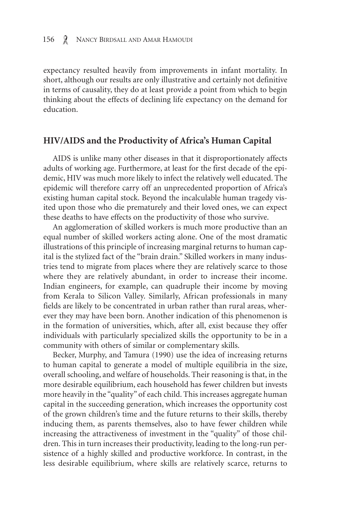expectancy resulted heavily from improvements in infant mortality. In short, although our results are only illustrative and certainly not definitive in terms of causality, they do at least provide a point from which to begin thinking about the effects of declining life expectancy on the demand for education.

# **HIV/AIDS and the Productivity of Africa's Human Capital**

AIDS is unlike many other diseases in that it disproportionately affects adults of working age. Furthermore, at least for the first decade of the epidemic, HIV was much more likely to infect the relatively well educated. The epidemic will therefore carry off an unprecedented proportion of Africa's existing human capital stock. Beyond the incalculable human tragedy visited upon those who die prematurely and their loved ones, we can expect these deaths to have effects on the productivity of those who survive.

An agglomeration of skilled workers is much more productive than an equal number of skilled workers acting alone. One of the most dramatic illustrations of this principle of increasing marginal returns to human capital is the stylized fact of the "brain drain." Skilled workers in many industries tend to migrate from places where they are relatively scarce to those where they are relatively abundant, in order to increase their income. Indian engineers, for example, can quadruple their income by moving from Kerala to Silicon Valley. Similarly, African professionals in many fields are likely to be concentrated in urban rather than rural areas, wherever they may have been born. Another indication of this phenomenon is in the formation of universities, which, after all, exist because they offer individuals with particularly specialized skills the opportunity to be in a community with others of similar or complementary skills.

Becker, Murphy, and Tamura (1990) use the idea of increasing returns to human capital to generate a model of multiple equilibria in the size, overall schooling, and welfare of households. Their reasoning is that, in the more desirable equilibrium, each household has fewer children but invests more heavily in the "quality" of each child. This increases aggregate human capital in the succeeding generation, which increases the opportunity cost of the grown children's time and the future returns to their skills, thereby inducing them, as parents themselves, also to have fewer children while increasing the attractiveness of investment in the "quality" of those children. This in turn increases their productivity, leading to the long-run persistence of a highly skilled and productive workforce. In contrast, in the less desirable equilibrium, where skills are relatively scarce, returns to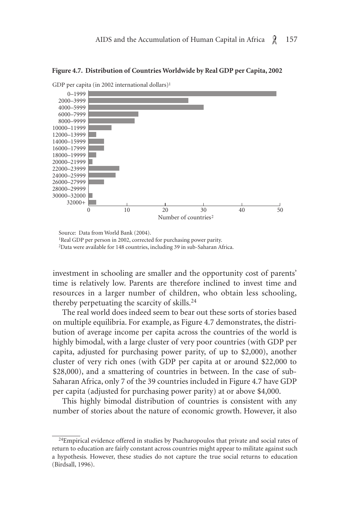

**Figure 4.7. Distribution of Countries Worldwide by Real GDP per Capita, 2002**

<sup>1</sup>Real GDP per person in 2002, corrected for purchasing power parity. 2Data were available for 148 countries, including 39 in sub-Saharan Africa.

investment in schooling are smaller and the opportunity cost of parents' time is relatively low. Parents are therefore inclined to invest time and resources in a larger number of children, who obtain less schooling, thereby perpetuating the scarcity of skills.24

The real world does indeed seem to bear out these sorts of stories based on multiple equilibria. For example, as Figure 4.7 demonstrates, the distribution of average income per capita across the countries of the world is highly bimodal, with a large cluster of very poor countries (with GDP per capita, adjusted for purchasing power parity, of up to \$2,000), another cluster of very rich ones (with GDP per capita at or around \$22,000 to \$28,000), and a smattering of countries in between. In the case of sub-Saharan Africa, only 7 of the 39 countries included in Figure 4.7 have GDP per capita (adjusted for purchasing power parity) at or above \$4,000.

This highly bimodal distribution of countries is consistent with any number of stories about the nature of economic growth. However, it also

<sup>&</sup>lt;sup>24</sup>Empirical evidence offered in studies by Psacharopoulos that private and social rates of return to education are fairly constant across countries might appear to militate against such a hypothesis. However, these studies do not capture the true social returns to education (Birdsall, 1996).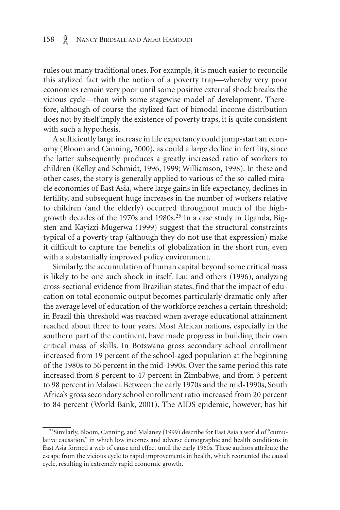rules out many traditional ones. For example, it is much easier to reconcile this stylized fact with the notion of a poverty trap—whereby very poor economies remain very poor until some positive external shock breaks the vicious cycle—than with some stagewise model of development. Therefore, although of course the stylized fact of bimodal income distribution does not by itself imply the existence of poverty traps, it is quite consistent with such a hypothesis.

A sufficiently large increase in life expectancy could jump-start an economy (Bloom and Canning, 2000), as could a large decline in fertility, since the latter subsequently produces a greatly increased ratio of workers to children (Kelley and Schmidt, 1996, 1999; Williamson, 1998). In these and other cases, the story is generally applied to various of the so-called miracle economies of East Asia, where large gains in life expectancy, declines in fertility, and subsequent huge increases in the number of workers relative to children (and the elderly) occurred throughout much of the highgrowth decades of the 1970s and 1980s.<sup>25</sup> In a case study in Uganda, Bigsten and Kayizzi-Mugerwa (1999) suggest that the structural constraints typical of a poverty trap (although they do not use that expression) make it difficult to capture the benefits of globalization in the short run, even with a substantially improved policy environment.

Similarly, the accumulation of human capital beyond some critical mass is likely to be one such shock in itself. Lau and others (1996), analyzing cross-sectional evidence from Brazilian states, find that the impact of education on total economic output becomes particularly dramatic only after the average level of education of the workforce reaches a certain threshold; in Brazil this threshold was reached when average educational attainment reached about three to four years. Most African nations, especially in the southern part of the continent, have made progress in building their own critical mass of skills. In Botswana gross secondary school enrollment increased from 19 percent of the school-aged population at the beginning of the 1980s to 56 percent in the mid-1990s. Over the same period this rate increased from 8 percent to 47 percent in Zimbabwe, and from 3 percent to 98 percent in Malawi. Between the early 1970s and the mid-1990s, South Africa's gross secondary school enrollment ratio increased from 20 percent to 84 percent (World Bank, 2001). The AIDS epidemic, however, has hit

<sup>&</sup>lt;sup>25</sup>Similarly, Bloom, Canning, and Malaney (1999) describe for East Asia a world of "cumulative causation," in which low incomes and adverse demographic and health conditions in East Asia formed a web of cause and effect until the early 1960s. These authors attribute the escape from the vicious cycle to rapid improvements in health, which reoriented the causal cycle, resulting in extremely rapid economic growth.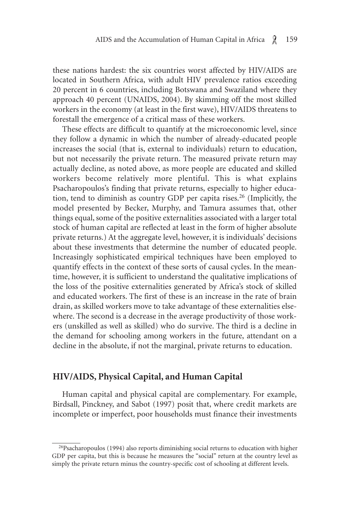these nations hardest: the six countries worst affected by HIV/AIDS are located in Southern Africa, with adult HIV prevalence ratios exceeding 20 percent in 6 countries, including Botswana and Swaziland where they approach 40 percent (UNAIDS, 2004). By skimming off the most skilled workers in the economy (at least in the first wave), HIV/AIDS threatens to forestall the emergence of a critical mass of these workers.

These effects are difficult to quantify at the microeconomic level, since they follow a dynamic in which the number of already-educated people increases the social (that is, external to individuals) return to education, but not necessarily the private return. The measured private return may actually decline, as noted above, as more people are educated and skilled workers become relatively more plentiful. This is what explains Psacharopoulos's finding that private returns, especially to higher education, tend to diminish as country GDP per capita rises.26 (Implicitly, the model presented by Becker, Murphy, and Tamura assumes that, other things equal, some of the positive externalities associated with a larger total stock of human capital are reflected at least in the form of higher absolute private returns.) At the aggregate level, however, it is individuals' decisions about these investments that determine the number of educated people. Increasingly sophisticated empirical techniques have been employed to quantify effects in the context of these sorts of causal cycles. In the meantime, however, it is sufficient to understand the qualitative implications of the loss of the positive externalities generated by Africa's stock of skilled and educated workers. The first of these is an increase in the rate of brain drain, as skilled workers move to take advantage of these externalities elsewhere. The second is a decrease in the average productivity of those workers (unskilled as well as skilled) who do survive. The third is a decline in the demand for schooling among workers in the future, attendant on a decline in the absolute, if not the marginal, private returns to education.

# **HIV/AIDS, Physical Capital, and Human Capital**

Human capital and physical capital are complementary. For example, Birdsall, Pinckney, and Sabot (1997) posit that, where credit markets are incomplete or imperfect, poor households must finance their investments

<sup>26</sup>Psacharopoulos (1994) also reports diminishing social returns to education with higher GDP per capita, but this is because he measures the "social" return at the country level as simply the private return minus the country-specific cost of schooling at different levels.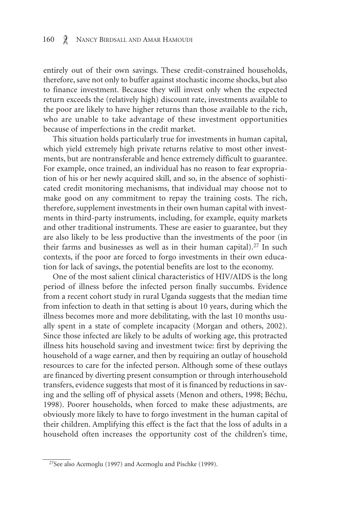entirely out of their own savings. These credit-constrained households, therefore, save not only to buffer against stochastic income shocks, but also to finance investment. Because they will invest only when the expected return exceeds the (relatively high) discount rate, investments available to the poor are likely to have higher returns than those available to the rich, who are unable to take advantage of these investment opportunities because of imperfections in the credit market.

This situation holds particularly true for investments in human capital, which yield extremely high private returns relative to most other investments, but are nontransferable and hence extremely difficult to guarantee. For example, once trained, an individual has no reason to fear expropriation of his or her newly acquired skill, and so, in the absence of sophisticated credit monitoring mechanisms, that individual may choose not to make good on any commitment to repay the training costs. The rich, therefore, supplement investments in their own human capital with investments in third-party instruments, including, for example, equity markets and other traditional instruments. These are easier to guarantee, but they are also likely to be less productive than the investments of the poor (in their farms and businesses as well as in their human capital).<sup>27</sup> In such contexts, if the poor are forced to forgo investments in their own education for lack of savings, the potential benefits are lost to the economy.

One of the most salient clinical characteristics of HIV/AIDS is the long period of illness before the infected person finally succumbs. Evidence from a recent cohort study in rural Uganda suggests that the median time from infection to death in that setting is about 10 years, during which the illness becomes more and more debilitating, with the last 10 months usually spent in a state of complete incapacity (Morgan and others, 2002). Since those infected are likely to be adults of working age, this protracted illness hits household saving and investment twice: first by depriving the household of a wage earner, and then by requiring an outlay of household resources to care for the infected person. Although some of these outlays are financed by diverting present consumption or through interhousehold transfers, evidence suggests that most of it is financed by reductions in saving and the selling off of physical assets (Menon and others, 1998; Béchu, 1998). Poorer households, when forced to make these adjustments, are obviously more likely to have to forgo investment in the human capital of their children. Amplifying this effect is the fact that the loss of adults in a household often increases the opportunity cost of the children's time,

<sup>27</sup>See also Acemoglu (1997) and Acemoglu and Pischke (1999).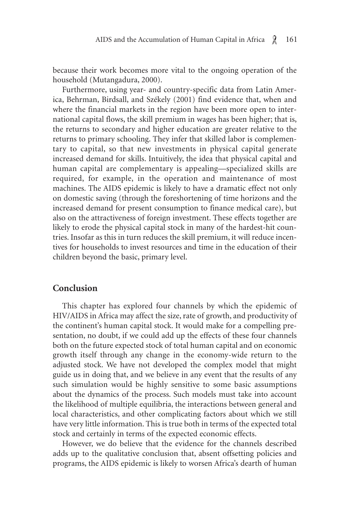because their work becomes more vital to the ongoing operation of the household (Mutangadura, 2000).

Furthermore, using year- and country-specific data from Latin America, Behrman, Birdsall, and Székely (2001) find evidence that, when and where the financial markets in the region have been more open to international capital flows, the skill premium in wages has been higher; that is, the returns to secondary and higher education are greater relative to the returns to primary schooling. They infer that skilled labor is complementary to capital, so that new investments in physical capital generate increased demand for skills. Intuitively, the idea that physical capital and human capital are complementary is appealing—specialized skills are required, for example, in the operation and maintenance of most machines. The AIDS epidemic is likely to have a dramatic effect not only on domestic saving (through the foreshortening of time horizons and the increased demand for present consumption to finance medical care), but also on the attractiveness of foreign investment. These effects together are likely to erode the physical capital stock in many of the hardest-hit countries. Insofar as this in turn reduces the skill premium, it will reduce incentives for households to invest resources and time in the education of their children beyond the basic, primary level.

## **Conclusion**

This chapter has explored four channels by which the epidemic of HIV/AIDS in Africa may affect the size, rate of growth, and productivity of the continent's human capital stock. It would make for a compelling presentation, no doubt, if we could add up the effects of these four channels both on the future expected stock of total human capital and on economic growth itself through any change in the economy-wide return to the adjusted stock. We have not developed the complex model that might guide us in doing that, and we believe in any event that the results of any such simulation would be highly sensitive to some basic assumptions about the dynamics of the process. Such models must take into account the likelihood of multiple equilibria, the interactions between general and local characteristics, and other complicating factors about which we still have very little information. This is true both in terms of the expected total stock and certainly in terms of the expected economic effects.

However, we do believe that the evidence for the channels described adds up to the qualitative conclusion that, absent offsetting policies and programs, the AIDS epidemic is likely to worsen Africa's dearth of human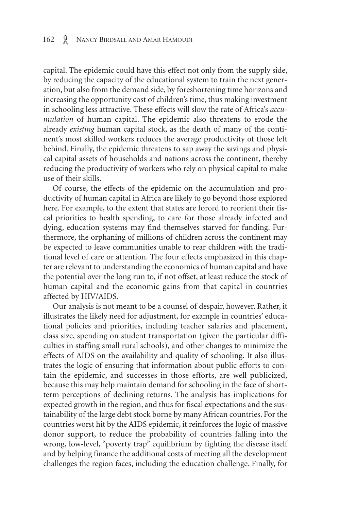capital. The epidemic could have this effect not only from the supply side, by reducing the capacity of the educational system to train the next generation, but also from the demand side, by foreshortening time horizons and increasing the opportunity cost of children's time, thus making investment in schooling less attractive. These effects will slow the rate of Africa's *accumulation* of human capital. The epidemic also threatens to erode the already *existing* human capital stock, as the death of many of the continent's most skilled workers reduces the average productivity of those left behind. Finally, the epidemic threatens to sap away the savings and physical capital assets of households and nations across the continent, thereby reducing the productivity of workers who rely on physical capital to make use of their skills.

Of course, the effects of the epidemic on the accumulation and productivity of human capital in Africa are likely to go beyond those explored here. For example, to the extent that states are forced to reorient their fiscal priorities to health spending, to care for those already infected and dying, education systems may find themselves starved for funding. Furthermore, the orphaning of millions of children across the continent may be expected to leave communities unable to rear children with the traditional level of care or attention. The four effects emphasized in this chapter are relevant to understanding the economics of human capital and have the potential over the long run to, if not offset, at least reduce the stock of human capital and the economic gains from that capital in countries affected by HIV/AIDS.

Our analysis is not meant to be a counsel of despair, however. Rather, it illustrates the likely need for adjustment, for example in countries' educational policies and priorities, including teacher salaries and placement, class size, spending on student transportation (given the particular difficulties in staffing small rural schools), and other changes to minimize the effects of AIDS on the availability and quality of schooling. It also illustrates the logic of ensuring that information about public efforts to contain the epidemic, and successes in those efforts, are well publicized, because this may help maintain demand for schooling in the face of shortterm perceptions of declining returns. The analysis has implications for expected growth in the region, and thus for fiscal expectations and the sustainability of the large debt stock borne by many African countries. For the countries worst hit by the AIDS epidemic, it reinforces the logic of massive donor support, to reduce the probability of countries falling into the wrong, low-level, "poverty trap" equilibrium by fighting the disease itself and by helping finance the additional costs of meeting all the development challenges the region faces, including the education challenge. Finally, for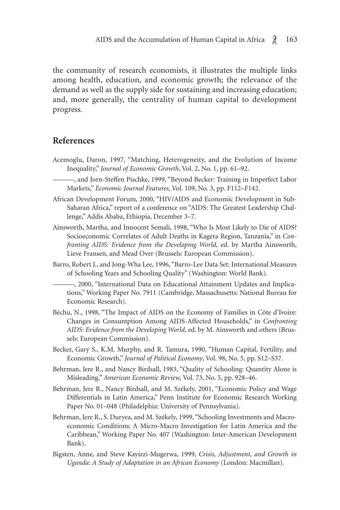the community of research economists, it illustrates the multiple links among health, education, and economic growth; the relevance of the demand as well as the supply side for sustaining and increasing education; and, more generally, the centrality of human capital to development progress.

# **References**

- Acemoglu, Daron, 1997, "Matching, Heterogeneity, and the Evolution of Income Inequality," *Journal of Economic Growth*, Vol. 2, No. 1, pp. 61–92.
	- ———, and Jorn-Steffen Pischke, 1999, "Beyond Becker: Training in Imperfect Labor Markets," *Economic Journal Features,* Vol. 109, No. 3, pp. F112–F142.
- African Development Forum, 2000, "HIV/AIDS and Economic Development in Sub-Saharan Africa," report of a conference on "AIDS: The Greatest Leadership Challenge," Addis Ababa, Ethiopia, December 3–7.
- Ainsworth, Martha, and Innocent Semali, 1998, "Who Is Most Likely to Die of AIDS? Socioeconomic Correlates of Adult Deaths in Kagera Region, Tanzania," in *Confronting AIDS: Evidence from the Developing World,* ed. by Martha Ainsworth, Lieve Fransen, and Mead Over (Brussels: European Commission).
- Barro, Robert J., and Jong-Wha Lee, 1996, "Barro-Lee Data Set: International Measures of Schooling Years and Schooling Quality" (Washington: World Bank).

———, 2000, "International Data on Educational Attainment Updates and Implications," Working Paper No. 7911 (Cambridge, Massachusetts: National Bureau for Economic Research).

- Béchu, N., 1998, "The Impact of AIDS on the Economy of Families in Côte d'Ivoire: Changes in Consumption Among AIDS-Affected Households," in *Confronting AIDS: Evidence from the Developing World,* ed. by M. Ainsworth and others (Brussels: European Commission).
- Becker, Gary S., K.M. Murphy, and R. Tamura, 1990, "Human Capital, Fertility, and Economic Growth," *Journal of Political Economy*, Vol. 98, No. 5, pp. S12–S37.
- Behrman, Jere R., and Nancy Birdsall, 1983, "Quality of Schooling: Quantity Alone is Misleading," *American Economic Review,* Vol. 73, No. 5, pp. 928–46.
- Behrman, Jere R., Nancy Birdsall, and M. Székely, 2001, "Economic Policy and Wage Differentials in Latin America," Penn Institute for Economic Research Working Paper No. 01–048 (Philadelphia: University of Pennsylvania).
- Behrman, Jere R., S. Duryea, and M. Székely, 1999, "Schooling Investments and Macroeconomic Conditions: A Micro-Macro Investigation for Latin America and the Caribbean," Working Paper No. 407 (Washington: Inter-American Development Bank).
- Bigsten, Anne, and Steve Kayizzi-Mugerwa, 1999, *Crisis, Adjustment, and Growth in Uganda: A Study of Adaptation in an African Economy* (London: Macmillan).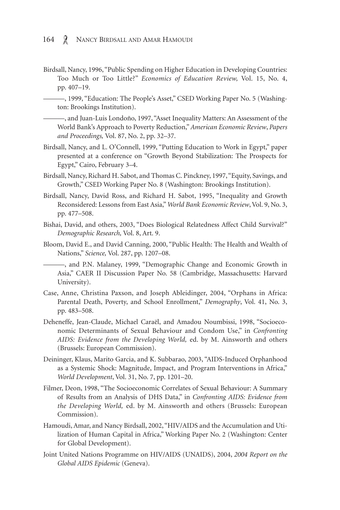- Birdsall, Nancy, 1996, "Public Spending on Higher Education in Developing Countries: Too Much or Too Little?" *Economics of Education Review,* Vol. 15, No. 4, pp. 407–19.
	- ———, 1999, "Education: The People's Asset," CSED Working Paper No. 5 (Washington: Brookings Institution).
	- ———, and Juan-Luis Londoño, 1997, "Asset Inequality Matters: An Assessment of the World Bank's Approach to Poverty Reduction,"*American Economic Review*, *Papers and Proceedings,* Vol. 87, No. 2, pp. 32–37.
- Birdsall, Nancy, and L. O'Connell, 1999, "Putting Education to Work in Egypt," paper presented at a conference on "Growth Beyond Stabilization: The Prospects for Egypt," Cairo, February 3–4.
- Birdsall, Nancy, Richard H. Sabot, and Thomas C. Pinckney, 1997,"Equity, Savings, and Growth," CSED Working Paper No. 8 (Washington: Brookings Institution).
- Birdsall, Nancy, David Ross, and Richard H. Sabot, 1995, "Inequality and Growth Reconsidered: Lessons from East Asia," *World Bank Economic Review*, Vol. 9, No. 3, pp. 477–508.
- Bishai, David, and others, 2003, "Does Biological Relatedness Affect Child Survival?" *Demographic Research,* Vol. 8, Art. 9.
- Bloom, David E., and David Canning, 2000, "Public Health: The Health and Wealth of Nations," *Science,* Vol. 287, pp. 1207–08.

———, and P.N. Malaney, 1999, "Demographic Change and Economic Growth in Asia," CAER II Discussion Paper No. 58 (Cambridge, Massachusetts: Harvard University).

- Case, Anne, Christina Paxson, and Joseph Ableidinger, 2004, "Orphans in Africa: Parental Death, Poverty, and School Enrollment," *Demography*, Vol. 41, No. 3, pp. 483–508.
- Deheneffe, Jean-Claude, Michael Caraël, and Amadou Noumbissi, 1998, "Socioeconomic Determinants of Sexual Behaviour and Condom Use," in *Confronting AIDS: Evidence from the Developing World,* ed. by M. Ainsworth and others (Brussels: European Commission).
- Deininger, Klaus, Marito Garcia, and K. Subbarao, 2003, "AIDS-Induced Orphanhood as a Systemic Shock: Magnitude, Impact, and Program Interventions in Africa," *World Development*, Vol. 31, No. 7, pp. 1201–20.
- Filmer, Deon, 1998, "The Socioeconomic Correlates of Sexual Behaviour: A Summary of Results from an Analysis of DHS Data," in *Confronting AIDS: Evidence from the Developing World,* ed. by M. Ainsworth and others (Brussels: European Commission).
- Hamoudi, Amar, and Nancy Birdsall, 2002, "HIV/AIDS and the Accumulation and Utilization of Human Capital in Africa," Working Paper No. 2 (Washington: Center for Global Development).
- Joint United Nations Programme on HIV/AIDS (UNAIDS), 2004, *2004 Report on the Global AIDS Epidemic* (Geneva).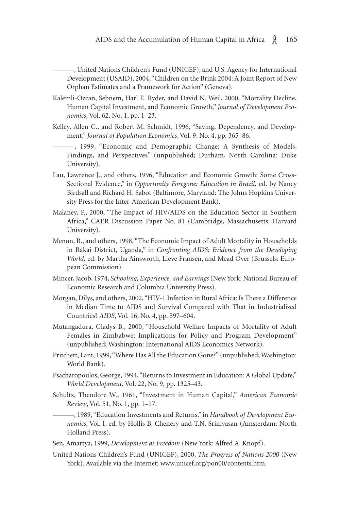––—––, United Nations Children's Fund (UNICEF), and U.S. Agency for International Development (USAID), 2004,"Children on the Brink 2004: A Joint Report of New Orphan Estimates and a Framework for Action" (Geneva).

- Kalemli-Ozcan, Sebnem, Harl E. Ryder, and David N. Weil, 2000, "Mortality Decline, Human Capital Investment, and Economic Growth," *Journal of Development Economics*, Vol. 62, No. 1, pp. 1–23.
- Kelley, Allen C., and Robert M. Schmidt, 1996, "Saving, Dependency, and Development," *Journal of Population Economics*, Vol. 9, No. 4, pp. 365–86.
	- ———, 1999, "Economic and Demographic Change: A Synthesis of Models, Findings, and Perspectives" (unpublished; Durham, North Carolina: Duke University).
- Lau, Lawrence J., and others, 1996, "Education and Economic Growth: Some Cross-Sectional Evidence," in *Opportunity Foregone: Education in Brazil,* ed. by Nancy Birdsall and Richard H. Sabot (Baltimore, Maryland: The Johns Hopkins University Press for the Inter-American Development Bank).
- Malaney, P., 2000, "The Impact of HIV/AIDS on the Education Sector in Southern Africa," CAER Discussion Paper No. 81 (Cambridge, Massachusetts: Harvard University).
- Menon, R., and others, 1998, "The Economic Impact of Adult Mortality in Households in Rakai District, Uganda," in *Confronting AIDS: Evidence from the Developing World,* ed. by Martha Ainsworth, Lieve Fransen, and Mead Over (Brussels: European Commission).
- Mincer, Jacob, 1974, *Schooling, Experience, and Earnings* (New York: National Bureau of Economic Research and Columbia University Press).
- Morgan, Dilys, and others, 2002,"HIV-1 Infection in Rural Africa: Is There a Difference in Median Time to AIDS and Survival Compared with That in Industrialized Countries? *AIDS*, Vol. 16, No. 4, pp. 597–604.
- Mutangadura, Gladys B., 2000, "Household Welfare Impacts of Mortality of Adult Females in Zimbabwe: Implications for Policy and Program Development" (unpublished; Washington: International AIDS Economics Network).
- Pritchett, Lant, 1999,"Where Has All the Education Gone?" (unpublished; Washington: World Bank).
- Psacharopoulos, George, 1994,"Returns to Investment in Education: A Global Update," *World Development,* Vol. 22, No. 9, pp. 1325–43.
- Schultz, Theodore W., 1961, "Investment in Human Capital," *American Economic Review*, Vol. 51, No. 1, pp. 1–17.

———, 1989, "Education Investments and Returns," in *Handbook of Development Economics*, Vol. I, ed. by Hollis B. Chenery and T.N. Srinivasan (Amsterdam: North Holland Press).

- Sen, Amartya, 1999, *Development as Freedom* (New York: Alfred A. Knopf).
- United Nations Children's Fund (UNICEF), 2000, *The Progress of Nations 2000* (New York). Available via the Internet: www.unicef.org/pon00/contents.htm.